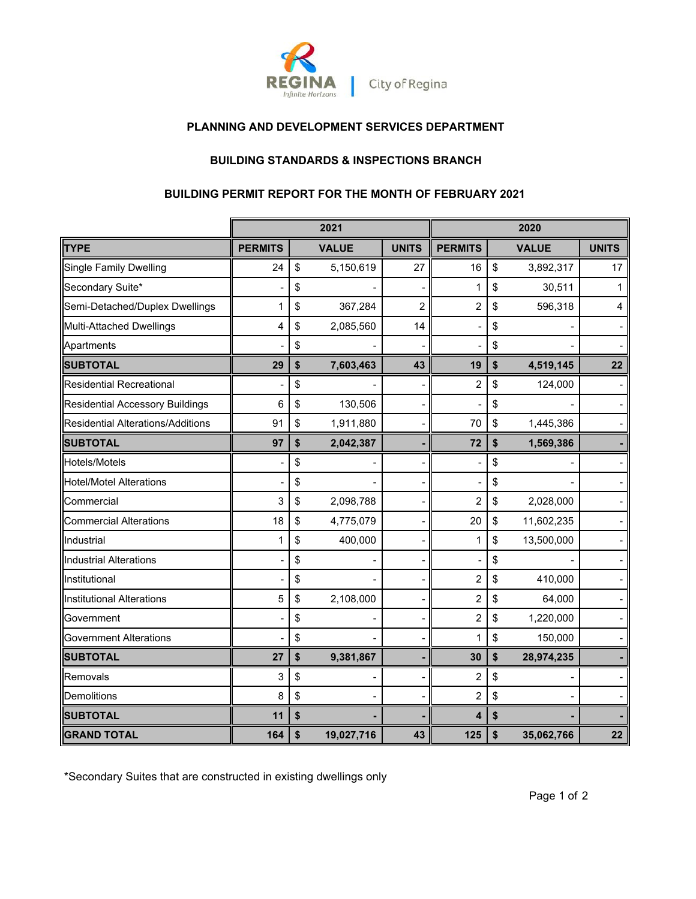

# **PLANNING AND DEVELOPMENT SERVICES DEPARTMENT**

# **BUILDING STANDARDS & INSPECTIONS BRANCH**

#### **BUILDING PERMIT REPORT FOR THE MONTH OF FEBRUARY 2021**

|                                          |                | 2021             |                | 2020           |    |              |              |
|------------------------------------------|----------------|------------------|----------------|----------------|----|--------------|--------------|
| <b>TYPE</b>                              | <b>PERMITS</b> | <b>VALUE</b>     | <b>UNITS</b>   | <b>PERMITS</b> |    | <b>VALUE</b> | <b>UNITS</b> |
| <b>Single Family Dwelling</b>            | 24             | \$<br>5,150,619  | 27             | 16             | \$ | 3,892,317    | 17           |
| Secondary Suite*                         |                | \$               |                | 1              | \$ | 30,511       | 1            |
| Semi-Detached/Duplex Dwellings           | 1              | \$<br>367,284    | $\overline{2}$ | $\overline{c}$ | \$ | 596,318      | 4            |
| Multi-Attached Dwellings                 | 4              | \$<br>2,085,560  | 14             |                | \$ |              |              |
| Apartments                               |                | \$               |                |                | \$ |              |              |
| <b>SUBTOTAL</b>                          | 29             | \$<br>7,603,463  | 43             | 19             | \$ | 4,519,145    | 22           |
| <b>Residential Recreational</b>          |                | \$               |                | $\overline{c}$ | \$ | 124,000      |              |
| <b>Residential Accessory Buildings</b>   | 6              | \$<br>130,506    |                |                | \$ |              |              |
| <b>Residential Alterations/Additions</b> | 91             | \$<br>1,911,880  |                | 70             | \$ | 1,445,386    |              |
| <b>SUBTOTAL</b>                          | 97             | \$<br>2,042,387  |                | 72             | \$ | 1,569,386    |              |
| Hotels/Motels                            |                | \$               |                |                | \$ |              |              |
| <b>Hotel/Motel Alterations</b>           |                | \$               |                |                | \$ |              |              |
| Commercial                               | 3              | \$<br>2,098,788  |                | 2              | \$ | 2,028,000    |              |
| <b>Commercial Alterations</b>            | 18             | \$<br>4,775,079  |                | 20             | \$ | 11,602,235   |              |
| Industrial                               |                | \$<br>400,000    |                | 1              | \$ | 13,500,000   |              |
| <b>Industrial Alterations</b>            |                | \$               |                |                | \$ |              |              |
| Institutional                            |                | \$               |                | 2              | \$ | 410,000      |              |
| <b>Institutional Alterations</b>         | 5              | \$<br>2,108,000  |                | $\overline{2}$ | \$ | 64,000       |              |
| Government                               |                | \$               |                | $\overline{2}$ | \$ | 1,220,000    |              |
| <b>Government Alterations</b>            |                | \$               |                | 1              | \$ | 150,000      |              |
| <b>SUBTOTAL</b>                          | 27             | \$<br>9,381,867  |                | 30             | \$ | 28,974,235   |              |
| Removals                                 | 3              | \$               |                | $\overline{2}$ | \$ |              |              |
| <b>Demolitions</b>                       | 8              | \$               |                | $\overline{c}$ | \$ |              |              |
| <b>SUBTOTAL</b>                          | 11             | \$               |                | 4              | \$ |              |              |
| <b>GRAND TOTAL</b>                       | 164            | \$<br>19,027,716 | 43             | 125            | \$ | 35,062,766   | 22           |

\*Secondary Suites that are constructed in existing dwellings only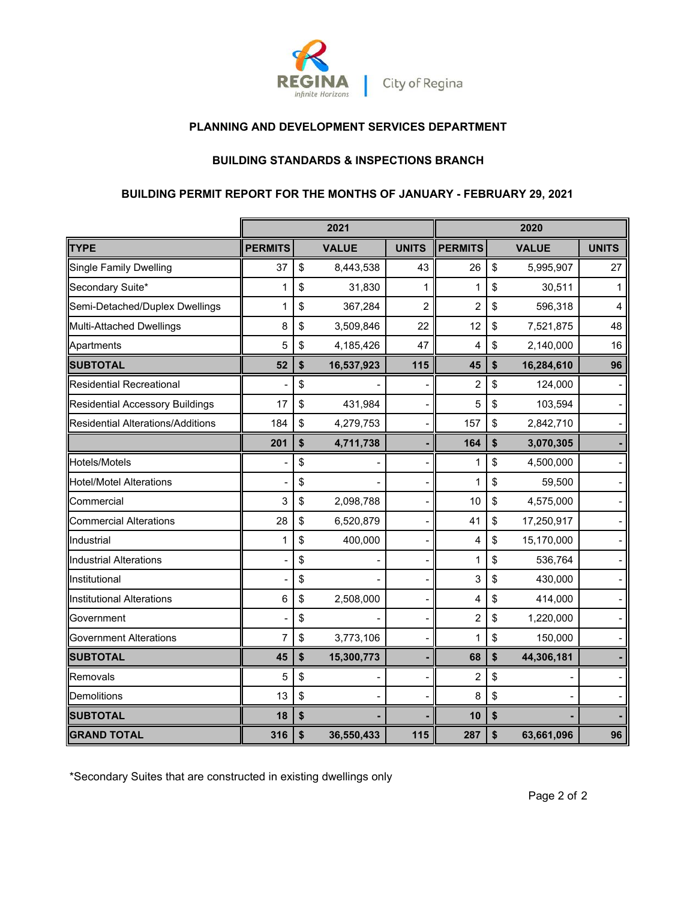

# **PLANNING AND DEVELOPMENT SERVICES DEPARTMENT**

#### **BUILDING STANDARDS & INSPECTIONS BRANCH**

# **BUILDING PERMIT REPORT FOR THE MONTHS OF JANUARY - FEBRUARY 29, 2021**

|                                        |                | 2021             |                | 2020           |    |              |              |
|----------------------------------------|----------------|------------------|----------------|----------------|----|--------------|--------------|
| <b>TYPE</b>                            | <b>PERMITS</b> | <b>VALUE</b>     | <b>UNITS</b>   | <b>PERMITS</b> |    | <b>VALUE</b> | <b>UNITS</b> |
| Single Family Dwelling                 | 37             | \$<br>8,443,538  | 43             | 26             | \$ | 5,995,907    | 27           |
| Secondary Suite*                       | 1              | \$<br>31,830     | 1              | 1              | \$ | 30,511       | 1            |
| Semi-Detached/Duplex Dwellings         | 1              | \$<br>367,284    | $\overline{2}$ | $\overline{2}$ | \$ | 596,318      | 4            |
| Multi-Attached Dwellings               | 8              | \$<br>3,509,846  | 22             | 12             | \$ | 7,521,875    | 48           |
| Apartments                             | 5              | \$<br>4,185,426  | 47             | 4              | \$ | 2,140,000    | 16           |
| <b>SUBTOTAL</b>                        | 52             | \$<br>16,537,923 | 115            | 45             | \$ | 16,284,610   | 96           |
| <b>Residential Recreational</b>        |                | \$               |                | $\overline{c}$ | \$ | 124,000      |              |
| <b>Residential Accessory Buildings</b> | 17             | \$<br>431,984    |                | 5              | \$ | 103,594      |              |
| Residential Alterations/Additions      | 184            | \$<br>4,279,753  |                | 157            | \$ | 2,842,710    |              |
|                                        | 201            | \$<br>4,711,738  |                | 164            | \$ | 3,070,305    |              |
| Hotels/Motels                          |                | \$               |                | 1              | \$ | 4,500,000    |              |
| <b>Hotel/Motel Alterations</b>         |                | \$               |                | 1              | \$ | 59,500       |              |
| Commercial                             | 3              | \$<br>2,098,788  |                | 10             | \$ | 4,575,000    |              |
| <b>Commercial Alterations</b>          | 28             | \$<br>6,520,879  |                | 41             | \$ | 17,250,917   |              |
| Industrial                             | 1              | \$<br>400,000    |                | 4              | \$ | 15,170,000   |              |
| <b>Industrial Alterations</b>          |                | \$               |                | 1              | \$ | 536,764      |              |
| Institutional                          |                | \$               |                | 3              | \$ | 430,000      |              |
| Institutional Alterations              | 6              | \$<br>2,508,000  |                | 4              | \$ | 414,000      |              |
| Government                             |                | \$               |                | $\overline{c}$ | \$ | 1,220,000    |              |
| <b>Government Alterations</b>          | $\overline{7}$ | \$<br>3,773,106  |                | 1              | \$ | 150,000      |              |
| <b>SUBTOTAL</b>                        | 45             | \$<br>15,300,773 |                | 68             | \$ | 44,306,181   |              |
| Removals                               | 5              | \$               |                | $\overline{c}$ | \$ |              |              |
| Demolitions                            | 13             | \$               |                | 8              | \$ |              |              |
| <b>SUBTOTAL</b>                        | 18             | \$               |                | 10             | \$ |              |              |
| <b>GRAND TOTAL</b>                     | 316            | \$<br>36,550,433 | 115            | 287            | \$ | 63,661,096   | 96           |

\*Secondary Suites that are constructed in existing dwellings only